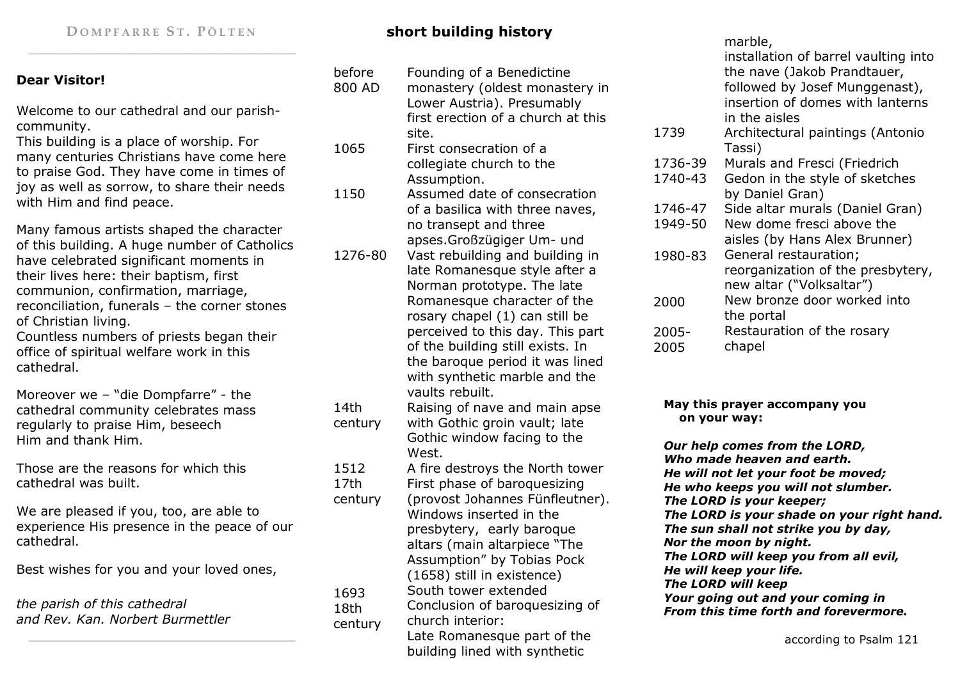# DOMPFARRE ST. PÖLTEN

### **Dear Visitor!**

Welcome to our cathedral and our parishcommunity.

 This building is a place of worship. For many centuries Christians have come here to praise God. They have come in times of joy as well as sorrow, to share their needs with Him and find peace.

Many famous artists shaped the character of this building. A huge number of Catholics have celebrated significant moments in their lives here: their baptism, first communion, confirmation, marriage, reconciliation, funerals – the corner stones of Christian living. Countless numbers of priests began their

office of spiritual welfare work in this cathedral.

Moreover we – "die Dompfarre" - the cathedral community celebrates mass regularly to praise Him, beseech Him and thank Him.

Those are the reasons for which this cathedral was built.

We are pleased if you, too, are able to experience His presence in the peace of our cathedral.

Best wishes for you and your loved ones,

| the parish of this cathedral     |  |
|----------------------------------|--|
| and Rev. Kan. Norbert Burmettler |  |

## **short building history**

| before  | Founding of a Benedictine                          |  |  |
|---------|----------------------------------------------------|--|--|
| 800 AD  | monastery (oldest monastery in                     |  |  |
|         | Lower Austria). Presumably                         |  |  |
|         | first erection of a church at this                 |  |  |
|         | site.                                              |  |  |
| 1065    | First consecration of a                            |  |  |
|         | collegiate church to the                           |  |  |
|         | Assumption.                                        |  |  |
| 1150    | Assumed date of consecration                       |  |  |
|         | of a basilica with three naves,                    |  |  |
|         | no transept and three                              |  |  |
|         | apses.Großzügiger Um- und                          |  |  |
| 1276-80 | Vast rebuilding and building in                    |  |  |
|         | late Romanesque style after a                      |  |  |
|         | Norman prototype. The late                         |  |  |
|         | Romanesque character of the                        |  |  |
|         | rosary chapel (1) can still be                     |  |  |
|         | perceived to this day. This part                   |  |  |
|         | of the building still exists. In                   |  |  |
|         | the baroque period it was lined                    |  |  |
|         | with synthetic marble and the                      |  |  |
|         | vaults rebuilt.                                    |  |  |
| 14th    | Raising of nave and main apse                      |  |  |
| century | with Gothic groin vault; late                      |  |  |
|         | Gothic window facing to the                        |  |  |
|         | West.                                              |  |  |
| 1512    | A fire destroys the North tower                    |  |  |
| 17th    | First phase of baroquesizing                       |  |  |
| century | (provost Johannes Fünfleutner).                    |  |  |
|         | Windows inserted in the                            |  |  |
|         | presbytery, early baroque                          |  |  |
|         | altars (main altarpiece "The                       |  |  |
|         | Assumption" by Tobias Pock                         |  |  |
|         |                                                    |  |  |
|         | (1658) still in existence)<br>South tower extended |  |  |
| 1693    |                                                    |  |  |
| 18th    | Conclusion of baroquesizing of<br>church interior: |  |  |
| century |                                                    |  |  |
|         | Late Romanesque part of the                        |  |  |
|         | building lined with synthetic                      |  |  |

#### marble, installation of barrel vaulting into the nave (Jakob Prandtauer, followed by Josef Munggenast), insertion of domes with lanterns in the aisles Architectural paintings (Antonio Tassi) Murals and Fresci (Friedrich Gedon in the style of sketches by Daniel Gran) Side altar murals (Daniel Gran) New dome fresci above the aisles (by Hans Alex Brunner) General restauration; reorganization of the presbytery, new altar ("Volksaltar") New bronze door worked into the portal Restauration of the rosary chapel1739 1736-39 1740-43 1746-47 1949-50 1980-83 2000 2005-2005

### **May this prayer accompany you on your way:**

*Our help comes from the LORD, Who made heaven and earth. He will not let your foot be moved; He who keeps you will not slumber. The LORD is your keeper; The LORD is your shade on your right hand. The sun shall not strike you by day, Nor the moon by night. The LORD will keep you from all evil, He will keep your life. The LORD will keep Your going out and your coming in From this time forth and forevermore.*